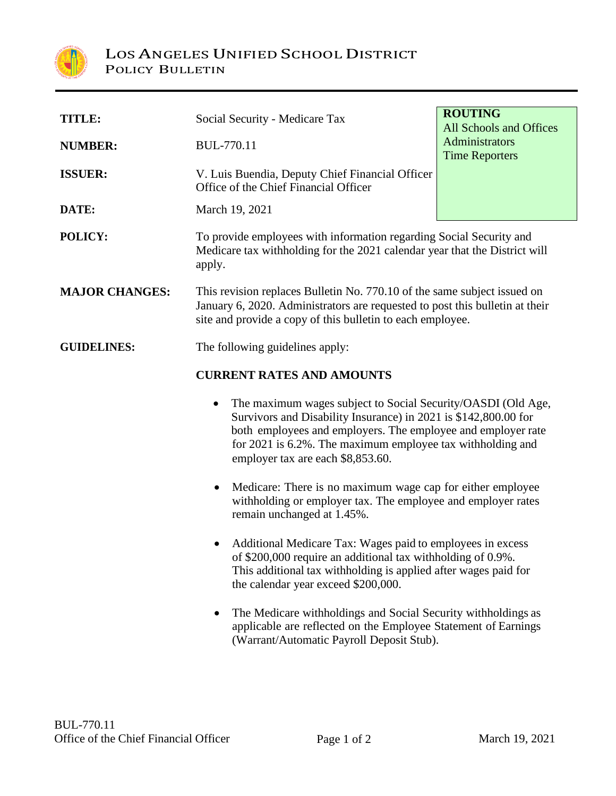

| TITLE:                | Social Security - Medicare Tax                                                                                                                                                                                                                                                                                  | <b>ROUTING</b><br>All Schools and Offices |  |
|-----------------------|-----------------------------------------------------------------------------------------------------------------------------------------------------------------------------------------------------------------------------------------------------------------------------------------------------------------|-------------------------------------------|--|
| <b>NUMBER:</b>        | <b>BUL-770.11</b>                                                                                                                                                                                                                                                                                               | Administrators<br><b>Time Reporters</b>   |  |
| <b>ISSUER:</b>        | V. Luis Buendia, Deputy Chief Financial Officer<br>Office of the Chief Financial Officer                                                                                                                                                                                                                        |                                           |  |
| DATE:                 | March 19, 2021                                                                                                                                                                                                                                                                                                  |                                           |  |
| POLICY:               | To provide employees with information regarding Social Security and<br>Medicare tax withholding for the 2021 calendar year that the District will<br>apply.                                                                                                                                                     |                                           |  |
| <b>MAJOR CHANGES:</b> | This revision replaces Bulletin No. 770.10 of the same subject issued on<br>January 6, 2020. Administrators are requested to post this bulletin at their<br>site and provide a copy of this bulletin to each employee.                                                                                          |                                           |  |
| <b>GUIDELINES:</b>    | The following guidelines apply:                                                                                                                                                                                                                                                                                 |                                           |  |
|                       | <b>CURRENT RATES AND AMOUNTS</b>                                                                                                                                                                                                                                                                                |                                           |  |
|                       | The maximum wages subject to Social Security/OASDI (Old Age,<br>$\bullet$<br>Survivors and Disability Insurance) in 2021 is \$142,800.00 for<br>both employees and employers. The employee and employer rate<br>for 2021 is 6.2%. The maximum employee tax withholding and<br>employer tax are each \$8,853.60. |                                           |  |
|                       | Medicare: There is no maximum wage cap for either employee<br>$\bullet$<br>withholding or employer tax. The employee and employer rates<br>remain unchanged at 1.45%.                                                                                                                                           |                                           |  |
|                       | Additional Medicare Tax: Wages paid to employees in excess<br>of \$200,000 require an additional tax withholding of 0.9%.<br>This additional tax withholding is applied after wages paid for<br>the calendar year exceed \$200,000.                                                                             |                                           |  |
|                       | The Medicare withholdings and Social Security withholdings as<br>applicable are reflected on the Employee Statement of Earnings<br>(Warrant/Automatic Payroll Deposit Stub).                                                                                                                                    |                                           |  |